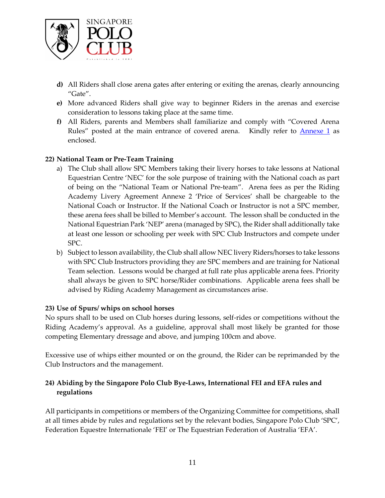- **d)** All Riders shall close arena gates after entering or exiting the arenas, clearly announcing "Gate".
- **e)** More advanced Riders shall give way to beginner Riders in the arenas and exercise consideration to lessons taking place at the same time.
- **f)** All Riders, parents and Members shall familiarize and comply with "Covered Arena Rules" posted at the main entrance of covered arena. Kindly refer to **Annexe 1** as enclosed.

## **22) National Team or Pre-Team Training**

- a) The Club shall allow SPC Members taking their livery horses to take lessons at National Equestrian Centre 'NEC' for the sole purpose of training with the National coach as part of being on the "National Team or National Pre-team". Arena fees as per the Riding Academy Livery Agreement Annexe 2 'Price of Services' shall be chargeable to the National Coach or Instructor. If the National Coach or Instructor is not a SPC member, these arena fees shall be billed to Member's account. The lesson shall be conducted in the National Equestrian Park 'NEP' arena (managed by SPC), the Rider shall additionally take at least one lesson or schooling per week with SPC Club Instructors and compete under SPC.
- b) Subject to lesson availability, the Club shall allow NEC livery Riders/horses to take lessons with SPC Club Instructors providing they are SPC members and are training for National Team selection. Lessons would be charged at full rate plus applicable arena fees. Priority shall always be given to SPC horse/Rider combinations. Applicable arena fees shall be advised by Riding Academy Management as circumstances arise.

## **23) Use of Spurs/ whips on school horses**

No spurs shall to be used on Club horses during lessons, self-rides or competitions without the Riding Academy's approval. As a guideline, approval shall most likely be granted for those competing Elementary dressage and above, and jumping 100cm and above.

Excessive use of whips either mounted or on the ground, the Rider can be reprimanded by the Club Instructors and the management.

## **24) Abiding by the Singapore Polo Club Bye-Laws, International FEI and EFA rules and regulations**

All participants in competitions or members of the Organizing Committee for competitions, shall at all times abide by rules and regulations set by the relevant bodies, Singapore Polo Club 'SPC', Federation Equestre Internationale 'FEI' or The Equestrian Federation of Australia 'EFA'.